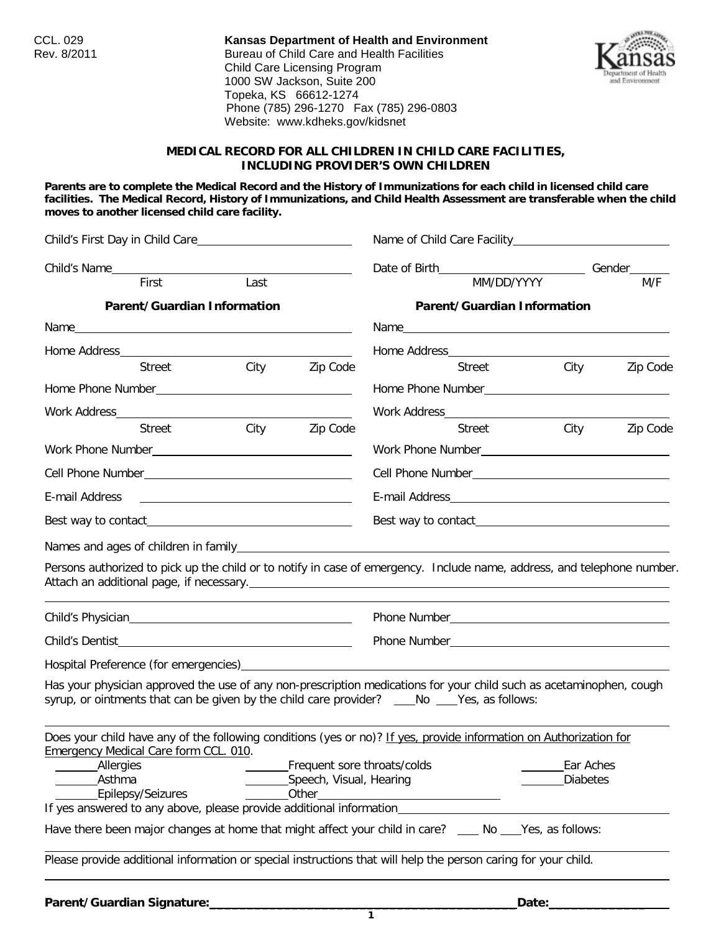CCL. 029 **Kansas Department of Health and Environment** Bureau of Child Care and Health Facilities Child Care Licensing Program 1000 SW Jackson, Suite 200 Topeka, KS 66612-1274 Phone (785) 296-1270 Fax (785) 296-0803 Website: www.kdheks.gov/kidsnet



### **MEDICAL RECORD FOR ALL CHILDREN IN CHILD CARE FACILITIES, INCLUDING PROVIDER'S OWN CHILDREN**

**Parents are to complete the Medical Record and the History of Immunizations for each child in licensed child care facilities. The Medical Record, History of Immunizations, and Child Health Assessment are transferable when the child moves to another licensed child care facility.**

|                                                                                                                                                                                                                      |      |                                                                 | Date of Birth___________________________________Gender________ |             |          |           |
|----------------------------------------------------------------------------------------------------------------------------------------------------------------------------------------------------------------------|------|-----------------------------------------------------------------|----------------------------------------------------------------|-------------|----------|-----------|
| First                                                                                                                                                                                                                | Last |                                                                 |                                                                | MM/DD/YYYY  |          | M/F       |
| Parent/Guardian Information                                                                                                                                                                                          |      |                                                                 | <b>Parent/Guardian Information</b>                             |             |          |           |
|                                                                                                                                                                                                                      |      |                                                                 |                                                                |             |          |           |
|                                                                                                                                                                                                                      |      |                                                                 | Home Address <b>Figure 2016</b>                                |             |          |           |
| Street City Zip Code                                                                                                                                                                                                 |      |                                                                 |                                                                | Street City |          | Zip Code  |
|                                                                                                                                                                                                                      |      |                                                                 |                                                                |             |          |           |
|                                                                                                                                                                                                                      |      |                                                                 |                                                                |             |          |           |
| <b>Street</b>                                                                                                                                                                                                        | City | Zip Code                                                        |                                                                | Street      | City     | Zip Code  |
|                                                                                                                                                                                                                      |      |                                                                 |                                                                |             |          |           |
|                                                                                                                                                                                                                      |      |                                                                 |                                                                |             |          |           |
| E-mail Address<br><u> 1980 - Andrea Brand, amerikansk politik (</u>                                                                                                                                                  |      |                                                                 |                                                                |             |          |           |
|                                                                                                                                                                                                                      |      |                                                                 |                                                                |             |          |           |
| Persons authorized to pick up the child or to notify in case of emergency. Include name, address, and telephone number.                                                                                              |      |                                                                 |                                                                |             |          |           |
|                                                                                                                                                                                                                      |      |                                                                 |                                                                |             |          |           |
|                                                                                                                                                                                                                      |      |                                                                 |                                                                |             |          |           |
|                                                                                                                                                                                                                      |      |                                                                 |                                                                |             |          |           |
| Has your physician approved the use of any non-prescription medications for your child such as acetaminophen, cough<br>syrup, or ointments that can be given by the child care provider? ____No ____Yes, as follows: |      |                                                                 |                                                                |             |          |           |
| Does your child have any of the following conditions (yes or no)? If yes, provide information on Authorization for<br><b>Emergency Medical Care form CCL. 010.</b><br>_Allergies<br>Asthma<br>Epilepsy/Seizures      |      | Frequent sore throats/colds<br>Speech, Visual, Hearing<br>Other |                                                                |             | Diabetes | Ear Aches |
| If yes answered to any above, please provide additional information_____________                                                                                                                                     |      |                                                                 |                                                                |             |          |           |
| Have there been major changes at home that might affect your child in care? ____ No ___ Yes, as follows:                                                                                                             |      |                                                                 |                                                                |             |          |           |
| Please provide additional information or special instructions that will help the person caring for your child.                                                                                                       |      |                                                                 |                                                                |             |          |           |
|                                                                                                                                                                                                                      |      |                                                                 |                                                                |             |          |           |

**1**

**Parent/Guardian Signature:\_\_\_\_\_\_\_\_\_\_\_\_\_\_\_\_\_\_\_\_\_\_\_\_\_\_\_\_\_\_\_\_\_\_\_\_\_\_\_\_\_Date:\_\_\_\_\_\_\_\_\_\_\_\_\_**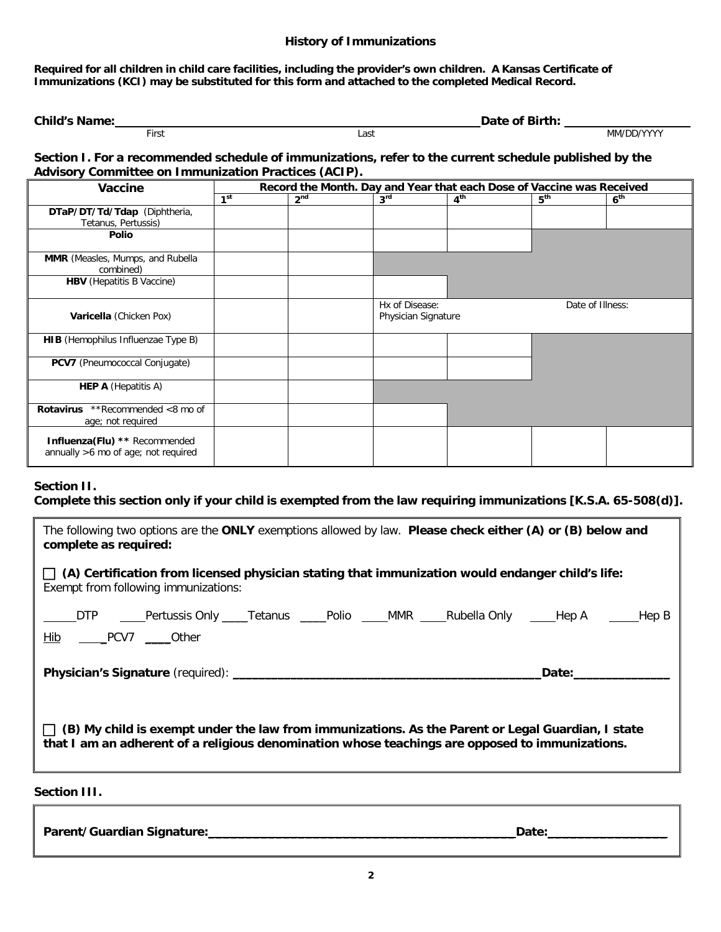## **History of Immunizations**

**Required for all children in child care facilities, including the provider's own children. A Kansas Certificate of Immunizations (KCI) may be substituted for this form and attached to the completed Medical Record.**

| <b>Child's Name:</b> |       | Date of Birth: |            |
|----------------------|-------|----------------|------------|
|                      | First | Last           | MM/DD/YYYY |

#### **Section I. For a recommended schedule of immunizations, refer to the current schedule published by the Advisory Committee on Immunization Practices (ACIP).**

| Vaccine                                                              | Record the Month. Day and Year that each Dose of Vaccine was Received |                 |                 |                                                           |                 |                 |  |
|----------------------------------------------------------------------|-----------------------------------------------------------------------|-----------------|-----------------|-----------------------------------------------------------|-----------------|-----------------|--|
|                                                                      | 1 <sup>st</sup>                                                       | 2 <sup>nd</sup> | 3 <sup>rd</sup> | 4 <sup>th</sup>                                           | 5 <sup>th</sup> | 6 <sup>th</sup> |  |
| DTaP/DT/Td/Tdap (Diphtheria,<br>Tetanus, Pertussis)                  |                                                                       |                 |                 |                                                           |                 |                 |  |
| <b>Polio</b>                                                         |                                                                       |                 |                 |                                                           |                 |                 |  |
| <b>MMR</b> (Measles, Mumps, and Rubella<br>combined)                 |                                                                       |                 |                 |                                                           |                 |                 |  |
| <b>HBV</b> (Hepatitis B Vaccine)                                     |                                                                       |                 |                 |                                                           |                 |                 |  |
| Varicella (Chicken Pox)                                              |                                                                       |                 |                 | Hx of Disease:<br>Date of Illness:<br>Physician Signature |                 |                 |  |
| <b>HIB</b> (Hemophilus Influenzae Type B)                            |                                                                       |                 |                 |                                                           |                 |                 |  |
| <b>PCV7</b> (Pneumococcal Conjugate)                                 |                                                                       |                 |                 |                                                           |                 |                 |  |
| <b>HEP A</b> (Hepatitis A)                                           |                                                                       |                 |                 |                                                           |                 |                 |  |
| <b>Rotavirus</b> **Recommended <8 mo of<br>age; not required         |                                                                       |                 |                 |                                                           |                 |                 |  |
| Influenza(Flu) ** Recommended<br>annually >6 mo of age; not required |                                                                       |                 |                 |                                                           |                 |                 |  |

# **Section II.**

**Complete this section only if your child is exempted from the law requiring immunizations [K.S.A. 65-508(d)].**

| The following two options are the ONLY exemptions allowed by law. Please check either (A) or (B) below and<br>complete as required:                                                                                            |  |  |  |  |  |
|--------------------------------------------------------------------------------------------------------------------------------------------------------------------------------------------------------------------------------|--|--|--|--|--|
| $\Box$ (A) Certification from licensed physician stating that immunization would endanger child's life:<br>Exempt from following immunizations:                                                                                |  |  |  |  |  |
| _____DTP _____Pertussis Only ____Tetanus _____Polio ____MMR ____Rubella Only ____Hep A _____Hep B<br>Hib _____PCV7 _____Other                                                                                                  |  |  |  |  |  |
| Date: the contract of the contract of the contract of the contract of the contract of the contract of the contract of the contract of the contract of the contract of the contract of the contract of the contract of the cont |  |  |  |  |  |
| $\Box$ (B) My child is exempt under the law from immunizations. As the Parent or Legal Guardian, I state<br>that I am an adherent of a religious denomination whose teachings are opposed to immunizations.                    |  |  |  |  |  |

# **Section III.**

| Parent/Guardian Signature: | Date: |
|----------------------------|-------|
|----------------------------|-------|